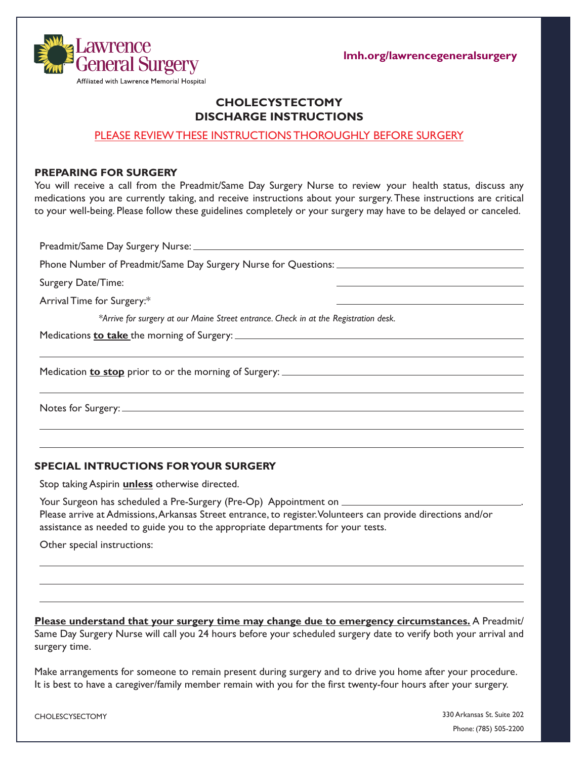**lmh.org/lawrencegeneralsurgery**



## **CHOLECYSTECTOMY DISCHARGE INSTRUCTIONS**

## PLEASE REVIEW THESE INSTRUCTIONS THOROUGHLY BEFORE SURGERY

#### **PREPARING FOR SURGERY**

You will receive a call from the Preadmit/Same Day Surgery Nurse to review your health status, discuss any medications you are currently taking, and receive instructions about your surgery. These instructions are critical to your well-being. Please follow these guidelines completely or your surgery may have to be delayed or canceled.

Preadmit/Same Day Surgery Nurse: Phone Number of Preadmit/Same Day Surgery Nurse for Questions: Surgery Date/Time: Arrival Time for Surgery:\* *\*Arrive for surgery at our Maine Street entrance. Check in at the Registration desk.*  Medications **to take** the morning of Surgery: Medication **to stop** prior to or the morning of Surgery: Notes for Surgery:

#### **SPECIAL INTRUCTIONS FOR YOUR SURGERY**

Stop taking Aspirin **unless** otherwise directed.

Your Surgeon has scheduled a Pre-Surgery (Pre-Op) Appointment on \_\_\_\_\_\_\_\_ Please arrive at Admissions, Arkansas Street entrance, to register. Volunteers can provide directions and/or assistance as needed to guide you to the appropriate departments for your tests.

Other special instructions:

**Please understand that your surgery time may change due to emergency circumstances.** A Preadmit/ Same Day Surgery Nurse will call you 24 hours before your scheduled surgery date to verify both your arrival and surgery time.

Make arrangements for someone to remain present during surgery and to drive you home after your procedure. It is best to have a caregiver/family member remain with you for the first twenty-four hours after your surgery.

CHOLESCYSECTOMY

330 Arkansas St. Suite 202 Phone: (785) 505-2200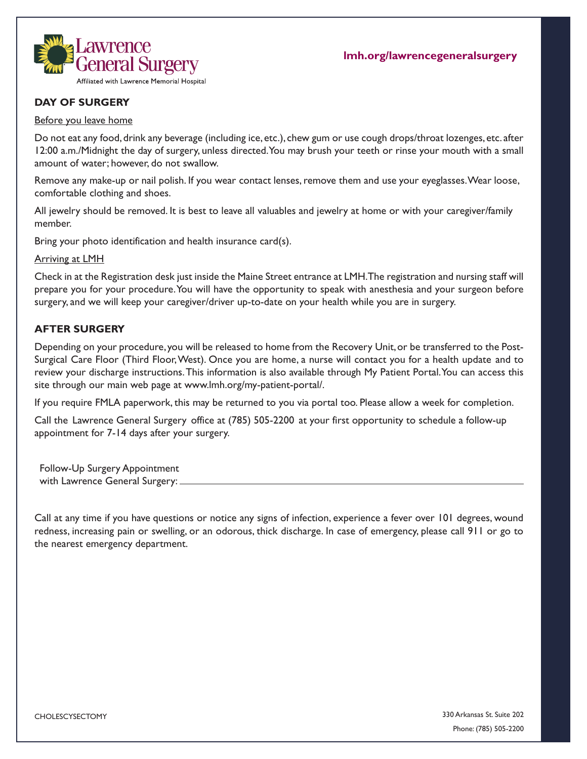

## **DAY OF SURGERY**

#### Before you leave home

Do not eat any food, drink any beverage (including ice, etc.), chew gum or use cough drops/throat lozenges, etc. after 12:00 a.m./Midnight the day of surgery, unless directed. You may brush your teeth or rinse your mouth with a small amount of water; however, do not swallow.

Remove any make-up or nail polish. If you wear contact lenses, remove them and use your eyeglasses. Wear loose, comfortable clothing and shoes.

All jewelry should be removed. It is best to leave all valuables and jewelry at home or with your caregiver/family member.

Bring your photo identification and health insurance card(s).

Arriving at LMH

Check in at the Registration desk just inside the Maine Street entrance at LMH. The registration and nursing staff will prepare you for your procedure. You will have the opportunity to speak with anesthesia and your surgeon before surgery, and we will keep your caregiver/driver up-to-date on your health while you are in surgery.

## **AFTER SURGERY**

Depending on your procedure, you will be released to home from the Recovery Unit, or be transferred to the Post-Surgical Care Floor (Third Floor, West). Once you are home, a nurse will contact you for a health update and to review your discharge instructions.This information is also available through My Patient Portal. You can access this site through our main web page at www.lmh.org/my-patient-portal/.

If you require FMLA paperwork, this may be returned to you via portal too. Please allow a week for completion.

Call the Lawrence General Surgery office at (785) 505-2200 at your first opportunity to schedule a follow-up appointment for 7-14 days after your surgery.

Follow-Up Surgery Appointment with Lawrence General Surgery:

Call at any time if you have questions or notice any signs of infection, experience a fever over 101 degrees, wound redness, increasing pain or swelling, or an odorous, thick discharge. In case of emergency, please call 911 or go to the nearest emergency department.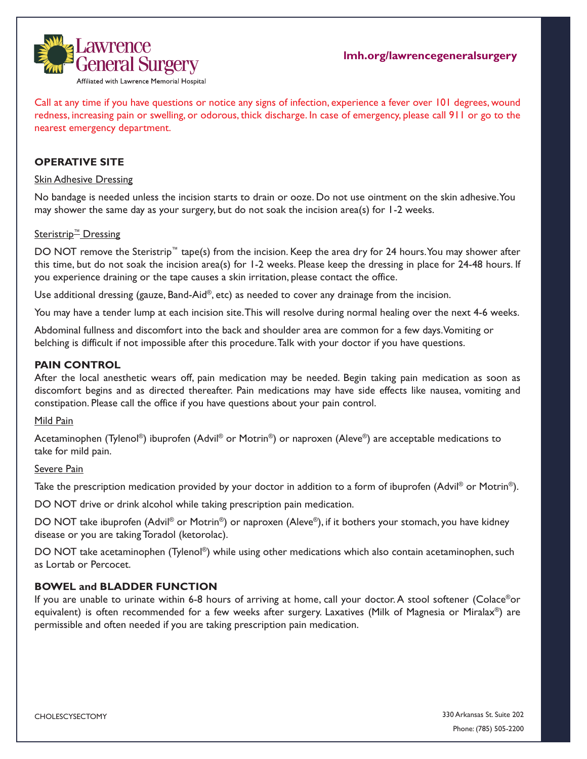

Call at any time if you have questions or notice any signs of infection, experience a fever over 101 degrees, wound redness, increasing pain or swelling, or odorous, thick discharge. In case of emergency, please call 911 or go to the nearest emergency department.

## **OPERATIVE SITE**

### Skin Adhesive Dressing

No bandage is needed unless the incision starts to drain or ooze. Do not use ointment on the skin adhesive. You may shower the same day as your surgery, but do not soak the incision area(s) for 1-2 weeks.

## Steristrip<sup>™</sup> Dressing

DO NOT remove the Steristrip™ tape(s) from the incision. Keep the area dry for 24 hours. You may shower after this time, but do not soak the incision area(s) for 1-2 weeks. Please keep the dressing in place for 24-48 hours. If you experience draining or the tape causes a skin irritation, please contact the office.

Use additional dressing (gauze, Band-Aid®, etc) as needed to cover any drainage from the incision.

You may have a tender lump at each incision site. This will resolve during normal healing over the next 4-6 weeks.

Abdominal fullness and discomfort into the back and shoulder area are common for a few days. Vomiting or belching is difficult if not impossible after this procedure. Talk with your doctor if you have questions.

#### **PAIN CONTROL**

After the local anesthetic wears off, pain medication may be needed. Begin taking pain medication as soon as discomfort begins and as directed thereafter. Pain medications may have side effects like nausea, vomiting and constipation. Please call the office if you have questions about your pain control.

#### Mild Pain

Acetaminophen (Tylenol®) ibuprofen (Advil® or Motrin®) or naproxen (Aleve®) are acceptable medications to take for mild pain.

## Severe Pain

Take the prescription medication provided by your doctor in addition to a form of ibuprofen (Advil<sup>®</sup> or Motrin<sup>®</sup>).

DO NOT drive or drink alcohol while taking prescription pain medication.

DO NOT take ibuprofen (Advil® or Motrin®) or naproxen (Aleve®), if it bothers your stomach, you have kidney disease or you are taking Toradol (ketorolac).

DO NOT take acetaminophen (Tylenol®) while using other medications which also contain acetaminophen, such as Lortab or Percocet.

#### **BOWEL and BLADDER FUNCTION**

If you are unable to urinate within 6-8 hours of arriving at home, call your doctor. A stool softener (Colace®or equivalent) is often recommended for a few weeks after surgery. Laxatives (Milk of Magnesia or Miralax®) are permissible and often needed if you are taking prescription pain medication.